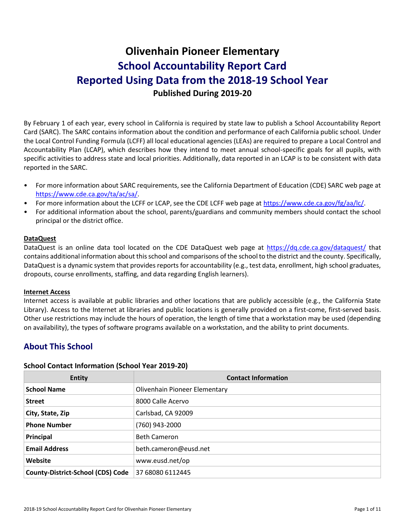# **Olivenhain Pioneer Elementary School Accountability Report Card Reported Using Data from the 2018-19 School Year Published During 2019-20**

By February 1 of each year, every school in California is required by state law to publish a School Accountability Report Card (SARC). The SARC contains information about the condition and performance of each California public school. Under the Local Control Funding Formula (LCFF) all local educational agencies (LEAs) are required to prepare a Local Control and Accountability Plan (LCAP), which describes how they intend to meet annual school-specific goals for all pupils, with specific activities to address state and local priorities. Additionally, data reported in an LCAP is to be consistent with data reported in the SARC.

- For more information about SARC requirements, see the California Department of Education (CDE) SARC web page at [https://www.cde.ca.gov/ta/ac/sa/.](https://www.cde.ca.gov/ta/ac/sa/)
- For more information about the LCFF or LCAP, see the CDE LCFF web page at [https://www.cde.ca.gov/fg/aa/lc/.](https://www.cde.ca.gov/fg/aa/lc/)
- For additional information about the school, parents/guardians and community members should contact the school principal or the district office.

### **DataQuest**

DataQuest is an online data tool located on the CDE DataQuest web page at<https://dq.cde.ca.gov/dataquest/> that contains additional information about this school and comparisons of the school to the district and the county. Specifically, DataQuest is a dynamic system that provides reports for accountability (e.g., test data, enrollment, high school graduates, dropouts, course enrollments, staffing, and data regarding English learners).

#### **Internet Access**

Internet access is available at public libraries and other locations that are publicly accessible (e.g., the California State Library). Access to the Internet at libraries and public locations is generally provided on a first-come, first-served basis. Other use restrictions may include the hours of operation, the length of time that a workstation may be used (depending on availability), the types of software programs available on a workstation, and the ability to print documents.

# **About This School**

### **School Contact Information (School Year 2019-20)**

| <b>Entity</b>                            | <b>Contact Information</b>    |
|------------------------------------------|-------------------------------|
| <b>School Name</b>                       | Olivenhain Pioneer Elementary |
| <b>Street</b>                            | 8000 Calle Acervo             |
| City, State, Zip                         | Carlsbad, CA 92009            |
| <b>Phone Number</b>                      | (760) 943-2000                |
| Principal                                | <b>Beth Cameron</b>           |
| <b>Email Address</b>                     | beth.cameron@eusd.net         |
| Website                                  | www.eusd.net/op               |
| <b>County-District-School (CDS) Code</b> | 37 68080 6112445              |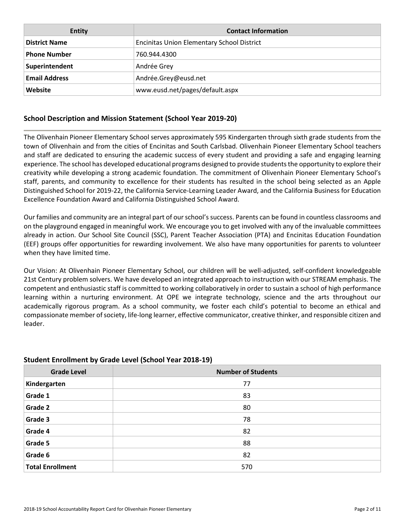| <b>Entity</b>        | <b>Contact Information</b>                        |
|----------------------|---------------------------------------------------|
| <b>District Name</b> | <b>Encinitas Union Elementary School District</b> |
| <b>Phone Number</b>  | 760.944.4300                                      |
| Superintendent       | Andrée Grey                                       |
| <b>Email Address</b> | Andrée.Grey@eusd.net                              |
| Website              | www.eusd.net/pages/default.aspx                   |

### **School Description and Mission Statement (School Year 2019-20)**

The Olivenhain Pioneer Elementary School serves approximately 595 Kindergarten through sixth grade students from the town of Olivenhain and from the cities of Encinitas and South Carlsbad. Olivenhain Pioneer Elementary School teachers and staff are dedicated to ensuring the academic success of every student and providing a safe and engaging learning experience. The school has developed educational programs designed to provide students the opportunity to explore their creativity while developing a strong academic foundation. The commitment of Olivenhain Pioneer Elementary School's staff, parents, and community to excellence for their students has resulted in the school being selected as an Apple Distinguished School for 2019-22, the California Service-Learning Leader Award, and the California Business for Education Excellence Foundation Award and California Distinguished School Award.

Our families and community are an integral part of our school's success. Parents can be found in countless classrooms and on the playground engaged in meaningful work. We encourage you to get involved with any of the invaluable committees already in action. Our School Site Council (SSC), Parent Teacher Association (PTA) and Encinitas Education Foundation (EEF) groups offer opportunities for rewarding involvement. We also have many opportunities for parents to volunteer when they have limited time.

Our Vision: At Olivenhain Pioneer Elementary School, our children will be well-adjusted, self-confident knowledgeable 21st Century problem solvers. We have developed an integrated approach to instruction with our STREAM emphasis. The competent and enthusiastic staff is committed to working collaboratively in order to sustain a school of high performance learning within a nurturing environment. At OPE we integrate technology, science and the arts throughout our academically rigorous program. As a school community, we foster each child's potential to become an ethical and compassionate member of society, life-long learner, effective communicator, creative thinker, and responsible citizen and leader.

| <b>Grade Level</b>      | <b>Number of Students</b> |
|-------------------------|---------------------------|
| Kindergarten            | 77                        |
| Grade 1                 | 83                        |
| Grade 2                 | 80                        |
| Grade 3                 | 78                        |
| Grade 4                 | 82                        |
| Grade 5                 | 88                        |
| Grade 6                 | 82                        |
| <b>Total Enrollment</b> | 570                       |

### **Student Enrollment by Grade Level (School Year 2018-19)**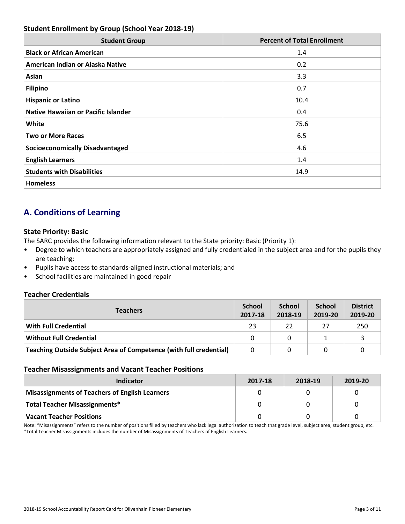### **Student Enrollment by Group (School Year 2018-19)**

| <b>Student Group</b>                       | <b>Percent of Total Enrollment</b> |
|--------------------------------------------|------------------------------------|
| <b>Black or African American</b>           | 1.4                                |
| American Indian or Alaska Native           | 0.2                                |
| Asian                                      | 3.3                                |
| <b>Filipino</b>                            | 0.7                                |
| <b>Hispanic or Latino</b>                  | 10.4                               |
| <b>Native Hawaiian or Pacific Islander</b> | 0.4                                |
| White                                      | 75.6                               |
| <b>Two or More Races</b>                   | 6.5                                |
| <b>Socioeconomically Disadvantaged</b>     | 4.6                                |
| <b>English Learners</b>                    | 1.4                                |
| <b>Students with Disabilities</b>          | 14.9                               |
| <b>Homeless</b>                            |                                    |

# **A. Conditions of Learning**

### **State Priority: Basic**

The SARC provides the following information relevant to the State priority: Basic (Priority 1):

- Degree to which teachers are appropriately assigned and fully credentialed in the subject area and for the pupils they are teaching;
- Pupils have access to standards-aligned instructional materials; and
- School facilities are maintained in good repair

### **Teacher Credentials**

| <b>Teachers</b>                                                    | <b>School</b><br>2017-18 | <b>School</b><br>2018-19 | <b>School</b><br>2019-20 | <b>District</b><br>2019-20 |
|--------------------------------------------------------------------|--------------------------|--------------------------|--------------------------|----------------------------|
| <b>With Full Credential</b>                                        | 23                       | 22                       | 27                       | 250                        |
| <b>Without Full Credential</b>                                     | <sup>0</sup>             | 0                        |                          |                            |
| Teaching Outside Subject Area of Competence (with full credential) | 0                        |                          |                          |                            |

### **Teacher Misassignments and Vacant Teacher Positions**

| Indicator                                             | 2017-18 | 2018-19 | 2019-20 |
|-------------------------------------------------------|---------|---------|---------|
| <b>Misassignments of Teachers of English Learners</b> |         |         |         |
| Total Teacher Misassignments*                         |         |         |         |
| <b>Vacant Teacher Positions</b>                       |         |         |         |

Note: "Misassignments" refers to the number of positions filled by teachers who lack legal authorization to teach that grade level, subject area, student group, etc. \*Total Teacher Misassignments includes the number of Misassignments of Teachers of English Learners.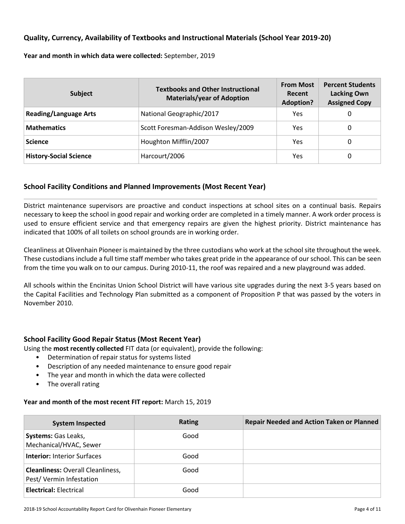### **Quality, Currency, Availability of Textbooks and Instructional Materials (School Year 2019-20)**

**Year and month in which data were collected:** September, 2019

| <b>Subject</b>                | <b>Textbooks and Other Instructional</b><br><b>Materials/year of Adoption</b> | <b>From Most</b><br>Recent<br><b>Adoption?</b> | <b>Percent Students</b><br><b>Lacking Own</b><br><b>Assigned Copy</b> |
|-------------------------------|-------------------------------------------------------------------------------|------------------------------------------------|-----------------------------------------------------------------------|
| <b>Reading/Language Arts</b>  | National Geographic/2017                                                      | Yes                                            | 0                                                                     |
| <b>Mathematics</b>            | Scott Foresman-Addison Wesley/2009                                            | Yes                                            | 0                                                                     |
| <b>Science</b>                | Houghton Mifflin/2007                                                         | Yes                                            | 0                                                                     |
| <b>History-Social Science</b> | Harcourt/2006                                                                 | Yes                                            | 0                                                                     |

### **School Facility Conditions and Planned Improvements (Most Recent Year)**

District maintenance supervisors are proactive and conduct inspections at school sites on a continual basis. Repairs necessary to keep the school in good repair and working order are completed in a timely manner. A work order process is used to ensure efficient service and that emergency repairs are given the highest priority. District maintenance has indicated that 100% of all toilets on school grounds are in working order.

Cleanliness at Olivenhain Pioneer is maintained by the three custodians who work at the school site throughout the week. These custodians include a full time staff member who takes great pride in the appearance of our school. This can be seen from the time you walk on to our campus. During 2010-11, the roof was repaired and a new playground was added.

All schools within the Encinitas Union School District will have various site upgrades during the next 3-5 years based on the Capital Facilities and Technology Plan submitted as a component of Proposition P that was passed by the voters in November 2010.

### **School Facility Good Repair Status (Most Recent Year)**

Using the **most recently collected** FIT data (or equivalent), provide the following:

- Determination of repair status for systems listed
- Description of any needed maintenance to ensure good repair
- The year and month in which the data were collected
- The overall rating

### **Year and month of the most recent FIT report:** March 15, 2019

| <b>System Inspected</b>                                             | <b>Rating</b> | <b>Repair Needed and Action Taken or Planned</b> |
|---------------------------------------------------------------------|---------------|--------------------------------------------------|
| <b>Systems:</b> Gas Leaks,<br>Mechanical/HVAC, Sewer                | Good          |                                                  |
| <b>Interior: Interior Surfaces</b>                                  | Good          |                                                  |
| <b>Cleanliness: Overall Cleanliness,</b><br>Pest/Vermin Infestation | Good          |                                                  |
| <b>Electrical: Electrical</b>                                       | Good          |                                                  |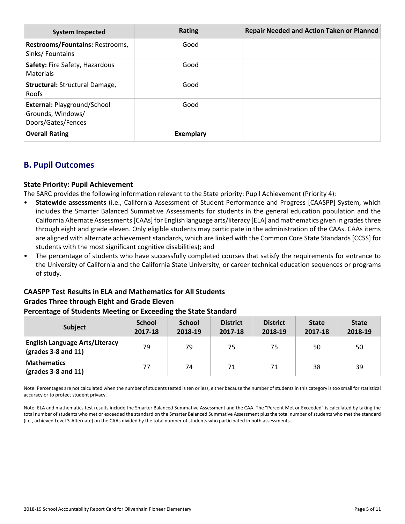| <b>System Inspected</b>                                                       | Rating    | <b>Repair Needed and Action Taken or Planned</b> |
|-------------------------------------------------------------------------------|-----------|--------------------------------------------------|
| Restrooms/Fountains: Restrooms,<br>Sinks/Fountains                            | Good      |                                                  |
| Safety: Fire Safety, Hazardous<br>Materials                                   | Good      |                                                  |
| Structural: Structural Damage,<br><b>Roofs</b>                                | Good      |                                                  |
| <b>External: Playground/School</b><br>Grounds, Windows/<br>Doors/Gates/Fences | Good      |                                                  |
| <b>Overall Rating</b>                                                         | Exemplary |                                                  |

# **B. Pupil Outcomes**

### **State Priority: Pupil Achievement**

The SARC provides the following information relevant to the State priority: Pupil Achievement (Priority 4):

- **Statewide assessments** (i.e., California Assessment of Student Performance and Progress [CAASPP] System, which includes the Smarter Balanced Summative Assessments for students in the general education population and the California Alternate Assessments [CAAs] for English language arts/literacy [ELA] and mathematics given in grades three through eight and grade eleven. Only eligible students may participate in the administration of the CAAs. CAAs items are aligned with alternate achievement standards, which are linked with the Common Core State Standards [CCSS] for students with the most significant cognitive disabilities); and
- The percentage of students who have successfully completed courses that satisfy the requirements for entrance to the University of California and the California State University, or career technical education sequences or programs of study.

# **CAASPP Test Results in ELA and Mathematics for All Students Grades Three through Eight and Grade Eleven**

### **Percentage of Students Meeting or Exceeding the State Standard**

| <b>Subject</b>                                                        | <b>School</b><br>2017-18 | <b>School</b><br>2018-19 | <b>District</b><br>2017-18 | <b>District</b><br>2018-19 | <b>State</b><br>2017-18 | <b>State</b><br>2018-19 |
|-----------------------------------------------------------------------|--------------------------|--------------------------|----------------------------|----------------------------|-------------------------|-------------------------|
| <b>English Language Arts/Literacy</b><br>$\sqrt{(grades 3-8 and 11)}$ | 79                       | 79                       | 75                         | 75                         | 50                      | 50                      |
| <b>Mathematics</b><br>$\vert$ (grades 3-8 and 11)                     | 77                       | 74                       | 71                         | 71                         | 38                      | 39                      |

Note: Percentages are not calculated when the number of students tested is ten or less, either because the number of students in this category is too small for statistical accuracy or to protect student privacy.

Note: ELA and mathematics test results include the Smarter Balanced Summative Assessment and the CAA. The "Percent Met or Exceeded" is calculated by taking the total number of students who met or exceeded the standard on the Smarter Balanced Summative Assessment plus the total number of students who met the standard (i.e., achieved Level 3-Alternate) on the CAAs divided by the total number of students who participated in both assessments.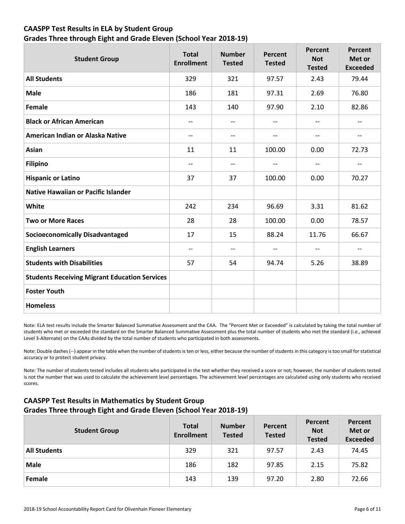### **CAASPP Test Results in ELA by Student Group Grades Three through Eight and Grade Eleven (School Year 2018-19)**

| <b>Student Group</b>                                 | <b>Total</b><br><b>Enrollment</b> | <b>Number</b><br><b>Tested</b> | Percent<br><b>Tested</b> | Percent<br><b>Not</b><br><b>Tested</b> | <b>Percent</b><br>Met or<br><b>Exceeded</b> |
|------------------------------------------------------|-----------------------------------|--------------------------------|--------------------------|----------------------------------------|---------------------------------------------|
| <b>All Students</b>                                  | 329                               | 321                            | 97.57                    | 2.43                                   | 79.44                                       |
| <b>Male</b>                                          | 186                               | 181                            | 97.31                    | 2.69                                   | 76.80                                       |
| Female                                               | 143                               | 140                            | 97.90                    | 2.10                                   | 82.86                                       |
| <b>Black or African American</b>                     | $\overline{\phantom{a}}$          | $- -$                          | --                       | $\overline{\phantom{a}}$               | --                                          |
| American Indian or Alaska Native                     | $\overline{\phantom{a}}$          | $- -$                          | $\qquad \qquad -$        | $\overline{\phantom{a}}$               | --                                          |
| Asian                                                | 11                                | 11                             | 100.00                   | 0.00                                   | 72.73                                       |
| <b>Filipino</b>                                      | $\overline{\phantom{m}}$          | $-$                            | $\overline{\phantom{a}}$ | $\overline{\phantom{m}}$               | --                                          |
| <b>Hispanic or Latino</b>                            | 37                                | 37                             | 100.00                   | 0.00                                   | 70.27                                       |
| <b>Native Hawaiian or Pacific Islander</b>           |                                   |                                |                          |                                        |                                             |
| White                                                | 242                               | 234                            | 96.69                    | 3.31                                   | 81.62                                       |
| <b>Two or More Races</b>                             | 28                                | 28                             | 100.00                   | 0.00                                   | 78.57                                       |
| <b>Socioeconomically Disadvantaged</b>               | 17                                | 15                             | 88.24                    | 11.76                                  | 66.67                                       |
| <b>English Learners</b>                              | $\overline{\phantom{a}}$          | $- -$                          | $\overline{\phantom{a}}$ | $\qquad \qquad -$                      | $- -$                                       |
| <b>Students with Disabilities</b>                    | 57                                | 54                             | 94.74                    | 5.26                                   | 38.89                                       |
| <b>Students Receiving Migrant Education Services</b> |                                   |                                |                          |                                        |                                             |
| <b>Foster Youth</b>                                  |                                   |                                |                          |                                        |                                             |
| <b>Homeless</b>                                      |                                   |                                |                          |                                        |                                             |

Note: ELA test results include the Smarter Balanced Summative Assessment and the CAA. The "Percent Met or Exceeded" is calculated by taking the total number of students who met or exceeded the standard on the Smarter Balanced Summative Assessment plus the total number of students who met the standard (i.e., achieved Level 3-Alternate) on the CAAs divided by the total number of students who participated in both assessments.

Note: Double dashes (--) appear in the table when the number of students is ten or less, either because the number of students in this category is too small for statistical accuracy or to protect student privacy.

Note: The number of students tested includes all students who participated in the test whether they received a score or not; however, the number of students tested is not the number that was used to calculate the achievement level percentages. The achievement level percentages are calculated using only students who received scores.

### **CAASPP Test Results in Mathematics by Student Group Grades Three through Eight and Grade Eleven (School Year 2018-19)**

| <b>Student Group</b> | <b>Total</b><br><b>Enrollment</b> | <b>Number</b><br><b>Tested</b> | Percent<br><b>Tested</b> | Percent<br><b>Not</b><br><b>Tested</b> | Percent<br>Met or<br><b>Exceeded</b> |
|----------------------|-----------------------------------|--------------------------------|--------------------------|----------------------------------------|--------------------------------------|
| <b>All Students</b>  | 329                               | 321                            | 97.57                    | 2.43                                   | 74.45                                |
| <b>Male</b>          | 186                               | 182                            | 97.85                    | 2.15                                   | 75.82                                |
| Female               | 143                               | 139                            | 97.20                    | 2.80                                   | 72.66                                |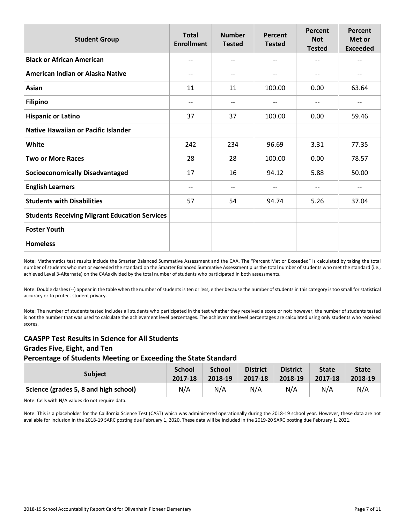| <b>Student Group</b>                                 | <b>Total</b><br><b>Enrollment</b> | <b>Number</b><br><b>Tested</b> | Percent<br><b>Tested</b> | Percent<br><b>Not</b><br><b>Tested</b> | <b>Percent</b><br>Met or<br><b>Exceeded</b> |
|------------------------------------------------------|-----------------------------------|--------------------------------|--------------------------|----------------------------------------|---------------------------------------------|
| <b>Black or African American</b>                     | --                                | --                             | $\overline{\phantom{m}}$ | --                                     | --                                          |
| American Indian or Alaska Native                     | $\overline{\phantom{m}}$          | --                             | $\overline{\phantom{m}}$ | --                                     | --                                          |
| Asian                                                | 11                                | 11                             | 100.00                   | 0.00                                   | 63.64                                       |
| <b>Filipino</b>                                      | $-$                               | --                             | $\qquad \qquad -$        | --                                     | --                                          |
| <b>Hispanic or Latino</b>                            | 37                                | 37                             | 100.00                   | 0.00                                   | 59.46                                       |
| <b>Native Hawaiian or Pacific Islander</b>           |                                   |                                |                          |                                        |                                             |
| White                                                | 242                               | 234                            | 96.69                    | 3.31                                   | 77.35                                       |
| <b>Two or More Races</b>                             | 28                                | 28                             | 100.00                   | 0.00                                   | 78.57                                       |
| <b>Socioeconomically Disadvantaged</b>               | 17                                | 16                             | 94.12                    | 5.88                                   | 50.00                                       |
| <b>English Learners</b>                              | $-$                               | --                             | $\overline{\phantom{m}}$ | --                                     | --                                          |
| <b>Students with Disabilities</b>                    | 57                                | 54                             | 94.74                    | 5.26                                   | 37.04                                       |
| <b>Students Receiving Migrant Education Services</b> |                                   |                                |                          |                                        |                                             |
| <b>Foster Youth</b>                                  |                                   |                                |                          |                                        |                                             |
| <b>Homeless</b>                                      |                                   |                                |                          |                                        |                                             |

Note: Mathematics test results include the Smarter Balanced Summative Assessment and the CAA. The "Percent Met or Exceeded" is calculated by taking the total number of students who met or exceeded the standard on the Smarter Balanced Summative Assessment plus the total number of students who met the standard (i.e., achieved Level 3-Alternate) on the CAAs divided by the total number of students who participated in both assessments.

Note: Double dashes (--) appear in the table when the number of students is ten or less, either because the number of students in this category is too small for statistical accuracy or to protect student privacy.

Note: The number of students tested includes all students who participated in the test whether they received a score or not; however, the number of students tested is not the number that was used to calculate the achievement level percentages. The achievement level percentages are calculated using only students who received scores.

### **CAASPP Test Results in Science for All Students Grades Five, Eight, and Ten Percentage of Students Meeting or Exceeding the State Standard**

| <b>Subject</b>                        | <b>School</b> | <b>School</b> | <b>District</b> | <b>District</b> | <b>State</b> | <b>State</b> |
|---------------------------------------|---------------|---------------|-----------------|-----------------|--------------|--------------|
|                                       | 2017-18       | 2018-19       | 2017-18         | 2018-19         | 2017-18      | 2018-19      |
| Science (grades 5, 8 and high school) | N/A           | N/A           | N/A             | N/A             | N/A          | N/A          |

Note: Cells with N/A values do not require data.

Note: This is a placeholder for the California Science Test (CAST) which was administered operationally during the 2018-19 school year. However, these data are not available for inclusion in the 2018-19 SARC posting due February 1, 2020. These data will be included in the 2019-20 SARC posting due February 1, 2021.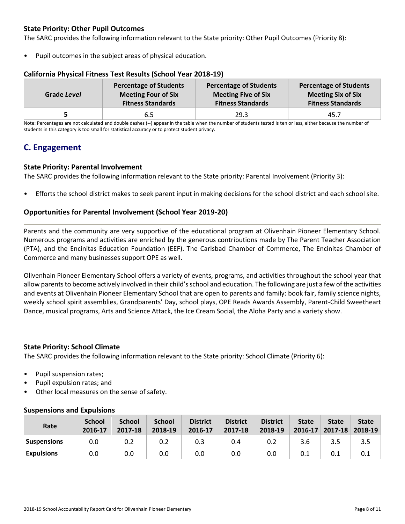### **State Priority: Other Pupil Outcomes**

The SARC provides the following information relevant to the State priority: Other Pupil Outcomes (Priority 8):

Pupil outcomes in the subject areas of physical education.

| Grade Level | <b>Percentage of Students</b> | <b>Percentage of Students</b> | <b>Percentage of Students</b> |
|-------------|-------------------------------|-------------------------------|-------------------------------|
|             | <b>Meeting Four of Six</b>    | <b>Meeting Five of Six</b>    | <b>Meeting Six of Six</b>     |
|             | <b>Fitness Standards</b>      | <b>Fitness Standards</b>      | <b>Fitness Standards</b>      |
|             | 6.5                           | 29.3                          | 45.7                          |

### **California Physical Fitness Test Results (School Year 2018-19)**

Note: Percentages are not calculated and double dashes (--) appear in the table when the number of students tested is ten or less, either because the number of students in this category is too small for statistical accuracy or to protect student privacy.

### **C. Engagement**

### **State Priority: Parental Involvement**

The SARC provides the following information relevant to the State priority: Parental Involvement (Priority 3):

• Efforts the school district makes to seek parent input in making decisions for the school district and each school site.

### **Opportunities for Parental Involvement (School Year 2019-20)**

Parents and the community are very supportive of the educational program at Olivenhain Pioneer Elementary School. Numerous programs and activities are enriched by the generous contributions made by The Parent Teacher Association (PTA), and the Encinitas Education Foundation (EEF). The Carlsbad Chamber of Commerce, The Encinitas Chamber of Commerce and many businesses support OPE as well.

Olivenhain Pioneer Elementary School offers a variety of events, programs, and activities throughout the school year that allow parents to become actively involved in their child's school and education. The following are just a few of the activities and events at Olivenhain Pioneer Elementary School that are open to parents and family: book fair, family science nights, weekly school spirit assemblies, Grandparents' Day, school plays, OPE Reads Awards Assembly, Parent-Child Sweetheart Dance, musical programs, Arts and Science Attack, the Ice Cream Social, the Aloha Party and a variety show.

### **State Priority: School Climate**

The SARC provides the following information relevant to the State priority: School Climate (Priority 6):

- Pupil suspension rates;
- Pupil expulsion rates; and
- Other local measures on the sense of safety.

| Rate               | <b>School</b><br>2016-17 | <b>School</b><br>2017-18 | <b>School</b><br>2018-19 | <b>District</b><br>2016-17 | <b>District</b><br>2017-18 | <b>District</b><br>2018-19 | <b>State</b><br>$2016 - 17$ | <b>State</b><br>$2017 - 18$ | <b>State</b><br>2018-19 |
|--------------------|--------------------------|--------------------------|--------------------------|----------------------------|----------------------------|----------------------------|-----------------------------|-----------------------------|-------------------------|
| <b>Suspensions</b> | 0.0                      | 0.2                      | 0.2                      | 0.3                        | 0.4                        | 0.2                        | 3.6                         | 3.5                         | 3.5                     |
| <b>Expulsions</b>  | 0.0                      | 0.0                      | 0.0                      | 0.0                        | 0.0                        | 0.0                        | 0.1                         | 0.1                         | 0.1                     |

### **Suspensions and Expulsions**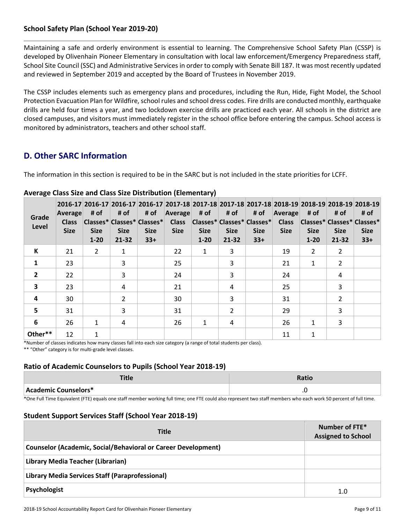### **School Safety Plan (School Year 2019-20)**

Maintaining a safe and orderly environment is essential to learning. The Comprehensive School Safety Plan (CSSP) is developed by Olivenhain Pioneer Elementary in consultation with local law enforcement/Emergency Preparedness staff, School Site Council (SSC) and Administrative Services in order to comply with Senate Bill 187. It was most recently updated and reviewed in September 2019 and accepted by the Board of Trustees in November 2019.

The CSSP includes elements such as emergency plans and procedures, including the Run, Hide, Fight Model, the School Protection Evacuation Plan for Wildfire, school rules and school dress codes. Fire drills are conducted monthly, earthquake drills are held four times a year, and two lockdown exercise drills are practiced each year. All schools in the district are closed campuses, and visitors must immediately register in the school office before entering the campus. School access is monitored by administrators, teachers and other school staff.

### **D. Other SARC Information**

The information in this section is required to be in the SARC but is not included in the state priorities for LCFF.

| Grade<br>Level | 2016-17 2016-17 2016-17 2016-17 2017-18 2017-18 2017-18 2017-18 2017-18 2018-19 2018-19 2018-19 2018-19<br>Average<br><b>Class</b><br><b>Size</b> | # of<br><b>Size</b><br>$1 - 20$ | # of<br><b>Size</b><br>21-32 | # of<br> Classes* Classes* Classes* <br><b>Size</b><br>$33+$ | <b>Average</b><br><b>Class</b><br><b>Size</b> | # of<br><b>Size</b><br>$1 - 20$ | # of<br><b>Size</b><br>$21 - 32$ | # of<br> Classes* Classes* Classes* <br><b>Size</b><br>$33+$ | Average<br><b>Class</b><br><b>Size</b> | # of<br> Classes* Classes* Classes*<br><b>Size</b><br>$1 - 20$ | # of<br><b>Size</b><br>21-32 | # of<br><b>Size</b><br>$33+$ |
|----------------|---------------------------------------------------------------------------------------------------------------------------------------------------|---------------------------------|------------------------------|--------------------------------------------------------------|-----------------------------------------------|---------------------------------|----------------------------------|--------------------------------------------------------------|----------------------------------------|----------------------------------------------------------------|------------------------------|------------------------------|
| К              | 21                                                                                                                                                | $\mathcal{P}$                   | 1                            |                                                              | 22                                            | $\mathbf{1}$                    | 3                                |                                                              | 19                                     | 2                                                              | $\overline{2}$               |                              |
| $\mathbf{1}$   | 23                                                                                                                                                |                                 | 3                            |                                                              | 25                                            |                                 | 3                                |                                                              | 21                                     | $\mathbf{1}$                                                   | $\overline{2}$               |                              |
| $\overline{2}$ | 22                                                                                                                                                |                                 | 3                            |                                                              | 24                                            |                                 | 3                                |                                                              | 24                                     |                                                                | 4                            |                              |
| $\mathbf{3}$   | 23                                                                                                                                                |                                 | 4                            |                                                              | 21                                            |                                 | 4                                |                                                              | 25                                     |                                                                | 3                            |                              |
| 4              | 30                                                                                                                                                |                                 | $\overline{2}$               |                                                              | 30                                            |                                 | 3                                |                                                              | 31                                     |                                                                | 2                            |                              |
| 5              | 31                                                                                                                                                |                                 | 3                            |                                                              | 31                                            |                                 | 2                                |                                                              | 29                                     |                                                                | 3                            |                              |
| 6              | 26                                                                                                                                                | 1                               | 4                            |                                                              | 26                                            | 1                               | 4                                |                                                              | 26                                     | $\mathbf{1}$                                                   | 3                            |                              |
| Other**        | 12                                                                                                                                                | $\mathbf{1}$                    |                              |                                                              |                                               |                                 |                                  |                                                              | 11                                     | 1                                                              |                              |                              |

### **Average Class Size and Class Size Distribution (Elementary)**

\*Number of classes indicates how many classes fall into each size category (a range of total students per class). \*\* "Other" category is for multi-grade level classes.

### **Ratio of Academic Counselors to Pupils (School Year 2018-19)**

| 14C                  | Doti/ |
|----------------------|-------|
| Academic Counselors* | . .   |

\*One Full Time Equivalent (FTE) equals one staff member working full time; one FTE could also represent two staff members who each work 50 percent of full time.

### **Student Support Services Staff (School Year 2018-19)**

| <b>Title</b>                                                  | Number of FTE*<br><b>Assigned to School</b> |
|---------------------------------------------------------------|---------------------------------------------|
| Counselor (Academic, Social/Behavioral or Career Development) |                                             |
| Library Media Teacher (Librarian)                             |                                             |
| Library Media Services Staff (Paraprofessional)               |                                             |
| Psychologist                                                  | 1.0                                         |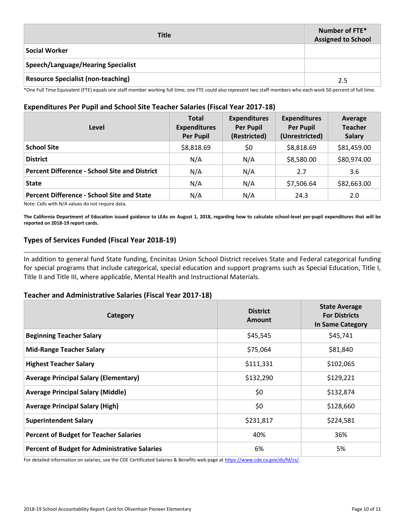| <b>Title</b>                              | Number of FTE*<br><b>Assigned to School</b> |
|-------------------------------------------|---------------------------------------------|
| <b>Social Worker</b>                      |                                             |
| Speech/Language/Hearing Specialist        |                                             |
| <b>Resource Specialist (non-teaching)</b> | 2.5                                         |

\*One Full Time Equivalent (FTE) equals one staff member working full time; one FTE could also represent two staff members who each work 50 percent of full time.

### **Expenditures Per Pupil and School Site Teacher Salaries (Fiscal Year 2017-18)**

| Level                                                | <b>Total</b><br><b>Expenditures</b><br><b>Per Pupil</b> | <b>Expenditures</b><br><b>Per Pupil</b><br>(Restricted) | <b>Expenditures</b><br><b>Per Pupil</b><br>(Unrestricted) | Average<br><b>Teacher</b><br><b>Salary</b> |
|------------------------------------------------------|---------------------------------------------------------|---------------------------------------------------------|-----------------------------------------------------------|--------------------------------------------|
| <b>School Site</b>                                   | \$8,818.69                                              | \$0                                                     | \$8,818.69                                                | \$81,459.00                                |
| <b>District</b>                                      | N/A                                                     | N/A                                                     | \$8,580.00                                                | \$80,974.00                                |
| <b>Percent Difference - School Site and District</b> | N/A                                                     | N/A                                                     | 2.7                                                       | 3.6                                        |
| <b>State</b>                                         | N/A                                                     | N/A                                                     | \$7,506.64                                                | \$82,663.00                                |
| <b>Percent Difference - School Site and State</b>    | N/A                                                     | N/A                                                     | 24.3                                                      | 2.0                                        |

Note: Cells with N/A values do not require data.

**The California Department of Education issued guidance to LEAs on August 1, 2018, regarding how to calculate school-level per-pupil expenditures that will be reported on 2018-19 report cards.**

### **Types of Services Funded (Fiscal Year 2018-19)**

In addition to general fund State funding, Encinitas Union School District receives State and Federal categorical funding for special programs that include categorical, special education and support programs such as Special Education, Title I, Title II and Title III, where applicable, Mental Health and Instructional Materials.

### **Teacher and Administrative Salaries (Fiscal Year 2017-18)**

| Category                                             | <b>District</b><br><b>Amount</b> | <b>State Average</b><br><b>For Districts</b><br>In Same Category |
|------------------------------------------------------|----------------------------------|------------------------------------------------------------------|
| <b>Beginning Teacher Salary</b>                      | \$45,545                         | \$45,741                                                         |
| <b>Mid-Range Teacher Salary</b>                      | \$75,064                         | \$81,840                                                         |
| <b>Highest Teacher Salary</b>                        | \$111,331                        | \$102,065                                                        |
| <b>Average Principal Salary (Elementary)</b>         | \$132,290                        | \$129,221                                                        |
| <b>Average Principal Salary (Middle)</b>             | \$0                              | \$132,874                                                        |
| <b>Average Principal Salary (High)</b>               | \$0                              | \$128,660                                                        |
| <b>Superintendent Salary</b>                         | \$231,817                        | \$224,581                                                        |
| <b>Percent of Budget for Teacher Salaries</b>        | 40%                              | 36%                                                              |
| <b>Percent of Budget for Administrative Salaries</b> | 6%                               | 5%                                                               |

For detailed information on salaries, see the CDE Certificated Salaries & Benefits web page at https://www.cde.ca.gov/ds/fd/cs/.